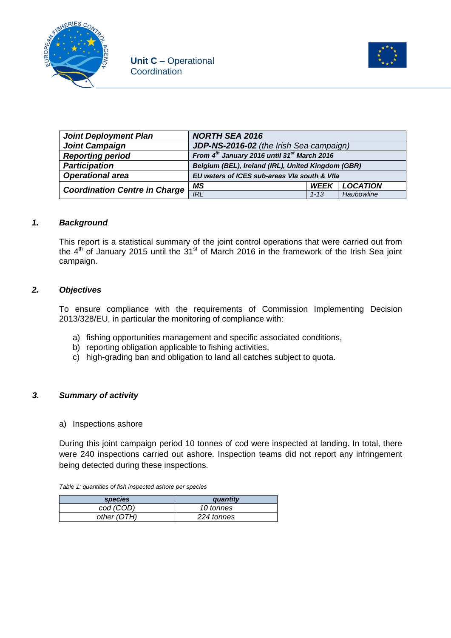



| <b>Joint Deployment Plan</b>         | <b>NORTH SEA 2016</b>                                   |             |                 |
|--------------------------------------|---------------------------------------------------------|-------------|-----------------|
| <b>Joint Campaign</b>                | JDP-NS-2016-02 (the Irish Sea campaign)                 |             |                 |
| <b>Reporting period</b>              | From 4th January 2016 until 31 <sup>st</sup> March 2016 |             |                 |
| <b>Participation</b>                 | Belgium (BEL), Ireland (IRL), United Kingdom (GBR)      |             |                 |
| <b>Operational area</b>              | EU waters of ICES sub-areas VIa south & VIIa            |             |                 |
| <b>Coordination Centre in Charge</b> | MS                                                      | <b>WEEK</b> | <b>LOCATION</b> |
|                                      | <b>IRL</b>                                              | $1 - 13$    | Haubowline      |

### *1. Background*

This report is a statistical summary of the joint control operations that were carried out from the  $4<sup>th</sup>$  of January 2015 until the 31<sup>st</sup> of March 2016 in the framework of the Irish Sea joint campaign.

### *2. Objectives*

To ensure compliance with the requirements of Commission Implementing Decision 2013/328/EU, in particular the monitoring of compliance with:

- a) fishing opportunities management and specific associated conditions,
- b) reporting obligation applicable to fishing activities,
- c) high-grading ban and obligation to land all catches subject to quota.

### *3. Summary of activity*

a) Inspections ashore

During this joint campaign period 10 tonnes of cod were inspected at landing. In total, there were 240 inspections carried out ashore. Inspection teams did not report any infringement being detected during these inspections.

|  | Table 1: quantities of fish inspected ashore per species |
|--|----------------------------------------------------------|
|--|----------------------------------------------------------|

| <i>species</i> | quantity   |
|----------------|------------|
| cod (COD)      | 10 tonnes  |
| other (OTH)    | 224 tonnes |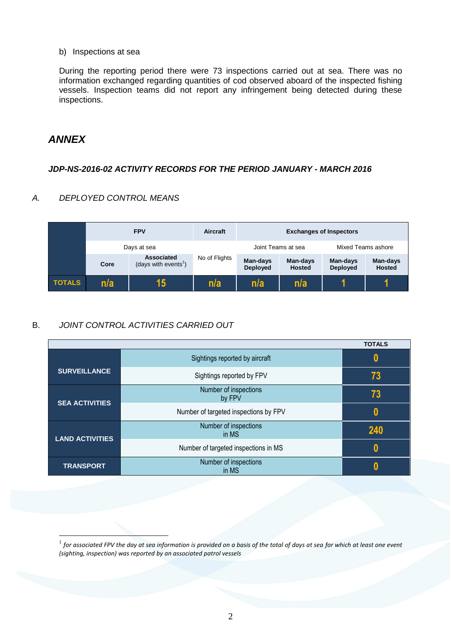b) Inspections at sea

During the reporting period there were 73 inspections carried out at sea. There was no information exchanged regarding quantities of cod observed aboard of the inspected fishing vessels. Inspection teams did not report any infringement being detected during these inspections.

# *ANNEX*

<u>.</u>

## *JDP-NS-2016-02 ACTIVITY RECORDS FOR THE PERIOD JANUARY - MARCH 2016*

## *A. DEPLOYED CONTROL MEANS*

|               |             | <b>FPV</b>                                            | Aircraft           | <b>Exchanges of Inspectors</b> |                           |                             |                           |
|---------------|-------------|-------------------------------------------------------|--------------------|--------------------------------|---------------------------|-----------------------------|---------------------------|
|               | Days at sea |                                                       | Joint Teams at sea |                                | Mixed Teams ashore        |                             |                           |
|               | Core        | <b>Associated</b><br>(days with events <sup>1</sup> ) | No of Flights      | Man-days<br><b>Deployed</b>    | Man-days<br><b>Hosted</b> | Man-days<br><b>Deployed</b> | Man-days<br><b>Hosted</b> |
| <b>TOTALS</b> | n/a         | 15                                                    | n/a                | n/a                            | n/a                       |                             |                           |

# B. *JOINT CONTROL ACTIVITIES CARRIED OUT*

|                        |                                       | <b>TOTALS</b> |
|------------------------|---------------------------------------|---------------|
|                        | Sightings reported by aircraft        | 0             |
| <b>SURVEILLANCE</b>    | Sightings reported by FPV             | 73            |
| <b>SEA ACTIVITIES</b>  | Number of inspections<br>by FPV       | 73            |
|                        | Number of targeted inspections by FPV | 0             |
| <b>LAND ACTIVITIES</b> | Number of inspections<br>in MS        | 240           |
|                        | Number of targeted inspections in MS  | 0             |
| <b>TRANSPORT</b>       | Number of inspections<br>in MS        |               |

 $^{\rm 1}$  for associated FPV the day at sea information is provided on a basis of the total of days at sea for which at least one event *(sighting, inspection) was reported by an associated patrol vessels*